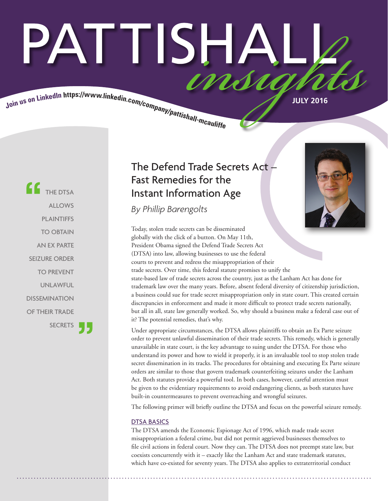# PATTISHAI Join us on LinkedIn https://www.linkedin.com/company/pattishall-mcautist.

**CC** THE DTSA ALLOWS PLAINTIFFS TO OBTAIN AN EX PARTE SEIZURE ORDER TO PREVENT UNLAWFUL DISSEMINATION OF THEIR TRADE **SECRETS** 

### The Defend Trade Secrets Act – Fast Remedies for the Instant Information Age

*By Phillip Barengolts*

Today, stolen trade secrets can be disseminated globally with the click of a button. On May 11th, President Obama signed the Defend Trade Secrets Act (DTSA) into law, allowing businesses to use the federal courts to prevent and redress the misappropriation of their trade secrets. Over time, this federal statute promises to unify the state-based law of trade secrets across the country, just as the Lanham Act has done for trademark law over the many years. Before, absent federal diversity of citizenship jurisdiction, a business could sue for trade secret misappropriation only in state court. This created certain discrepancies in enforcement and made it more difficult to protect trade secrets nationally, but all in all, state law generally worked. So, why should a business make a federal case out of it? The potential remedies, that's why.

Under appropriate circumstances, the DTSA allows plaintiffs to obtain an Ex Parte seizure order to prevent unlawful dissemination of their trade secrets. This remedy, which is generally unavailable in state court, is the key advantage to suing under the DTSA. For those who understand its power and how to wield it properly, it is an invaluable tool to stop stolen trade secret dissemination in its tracks. The procedures for obtaining and executing Ex Parte seizure orders are similar to those that govern trademark counterfeiting seizures under the Lanham Act. Both statutes provide a powerful tool. In both cases, however, careful attention must be given to the evidentiary requirements to avoid endangering clients, as both statutes have built-in countermeasures to prevent overreaching and wrongful seizures.

The following primer will briefly outline the DTSA and focus on the powerful seizure remedy.

#### DTSA BASICS

The DTSA amends the Economic Espionage Act of 1996, which made trade secret misappropriation a federal crime, but did not permit aggrieved businesses themselves to file civil actions in federal court. Now they can. The DTSA does not preempt state law, but coexists concurrently with it – exactly like the Lanham Act and state trademark statutes, which have co-existed for seventy years. The DTSA also applies to extraterritorial conduct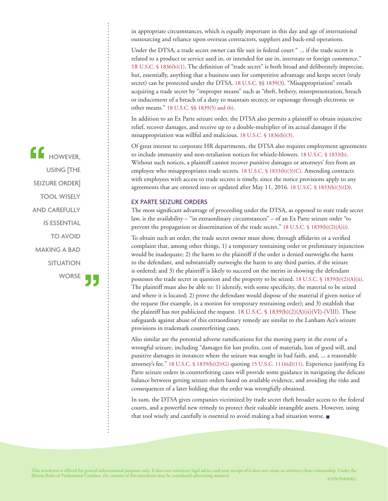in appropriate circumstances, which is equally important in this day and age of international outsourcing and reliance upon overseas contractors, suppliers and back-end operations.

Under the DTSA, a trade secret owner can file suit in federal court " ... if the trade secret is related to a product or service used in, or intended for use in, interstate or foreign commerce." 18 U.S.C. § 1836(b)(1). The definition of "trade secret" is both broad and deliberately imprecise, but, essentially, anything that a business uses for competitive advantage and keeps secret (truly secret) can be protected under the DTSA. 18 U.S.C. §§ 1839(3). "Misappropriation" entails acquiring a trade secret by "improper means" such as "theft, bribery, misrepresentation, breach or inducement of a breach of a duty to maintain secrecy, or espionage through electronic or other means." 18 U.S.C. §§ 1839(5) and (6).

In addition to an Ex Parte seizure order, the DTSA also permits a plaintiff to obtain injunctive relief, recover damages, and receive up to a double-multiplier of its actual damages if the misappropriation was willful and malicious. 18 U.S.C. § 1836(b)(3).

Of great interest to corporate HR departments, the DTSA also requires employment agreements to include immunity and non-retaliation notices for whistle-blowers. 18 U.S.C. § 1833(b). Without such notices, a plaintiff cannot recover punitive damages or attorneys' fees from an employee who misappropriates trade secrets. 18 U.S.C. § 1833(b)(3)(C). Amending contracts with employees with access to trade secrets is timely, since the notice provisions apply to any agreements that are entered into or updated after May 11, 2016. 18 U.S.C. § 1833(b)(3)(D).

#### EX PARTE SEIZURE ORDERS

The most significant advantage of proceeding under the DTSA, as opposed to state trade secret law, is the availability – "in extraordinary circumstances" – of an Ex Parte seizure order "to prevent the propagation or dissemination of the trade secret." 18 U.S.C. § 1839(b)(2)(A)(i).

To obtain such an order, the trade secret owner must show, through affidavits or a verified complaint that, among other things, 1) a temporary restraining order or preliminary injunction would be inadequate; 2) the harm to the plaintiff if the order is denied outweighs the harm to the defendant, and substantially outweighs the harm to any third parties, if the seizure is ordered; and 3) the plaintiff is likely to succeed on the merits in showing the defendant possesses the trade secret in question and the property to be seized. 18 U.S.C. § 1839(b)(2)(A)(ii). The plaintiff must also be able to: 1) identify, with some specificity, the material to be seized and where it is located; 2) prove the defendant would dispose of the material if given notice of the request (for example, in a motion for temporary restraining order); and 3) establish that the plaintiff has not publicized the request. 18 U.S.C.  $\frac{1839(b)(2)(A)(ii)(VI)-(VIII)}{I}$ . These safeguards against abuse of this extraordinary remedy are similar to the Lanham Act's seizure provisions in trademark counterfeiting cases.

Also similar are the potential adverse ramifications for the moving party in the event of a wrongful seizure, including "damages for lost profits, cost of materials, loss of good will, and punitive damages in instances where the seizure was sought in bad faith, and, ... a reasonable attorney's fee." 18 U.S.C. § 1839(b)(2)(G) quoting 15 U.S.C. 1116(d)(11). Experience justifying Ex Parte seizure orders in counterfeiting cases will provide some guidance in navigating the delicate balance between getting seizure orders based on available evidence, and avoiding the risks and consequences of a later holding that the order was wrongfully obtained.

In sum, the DTSA gives companies victimized by trade secret theft broader access to the federal courts, and a powerful new remedy to protect their valuable intangible assets. However, using that tool wisely and carefully is essential to avoid making a bad situation worse. ■

 $f$  HOWEVER, USING [THE SEIZURE ORDER] TOOL WISELY AND CAREFULLY IS ESSENTIAL TO AVOID MAKING A BAD **SITUATION** WORSE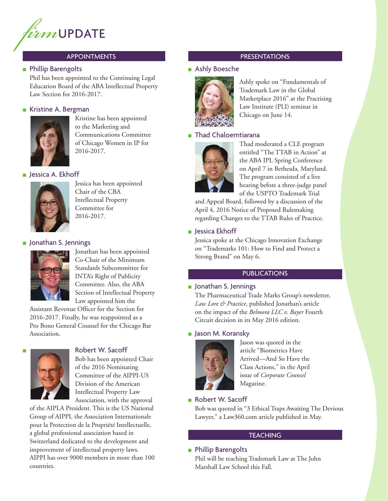

#### APPOINTMENTS

#### ■ Phillip Barengolts

Phil has been appointed to the Continuing Legal Education Board of the ABA Intellectual Property Law Section for 2016-2017.

#### ■ Kristine A. Bergman



Kristine has been appointed to the Marketing and Communications Committee of Chicago Women in IP for 2016-2017.

#### ■ Jessica A. Ekhoff



Jessica has been appointed Chair of the CBA Intellectual Property Committee for 2016-2017.

#### ■ Jonathan S. Jennings



Jonathan has been appointed Co-Chair of the Minimum Standards Subcommittee for INTA's Right of Publicity Committee. Also, the ABA Section of Intellectual Property Law appointed him the

Assistant Revenue Officer for the Section for 2016-2017. Finally, he was reappointed as a Pro Bono General Counsel for the Chicago Bar Association.



#### Robert W. Sacoff

Bob has been appointed Chair of the 2016 Nominating Committee of the AIPPI-US Division of the American Intellectual Property Law Association, with the approval

of the AIPLA President. This is the US National Group of AIPPI, the Association Internationale pour la Protection de la Propriété Intellectuelle, a global professional association based in Switzerland dedicated to the development and improvement of intellectual property laws. AIPPI has over 9000 members in more than 100 countries.

#### PRESENTATIONS

#### ■ Ashly Boesche



Ashly spoke on "Fundamentals of Trademark Law in the Global Marketplace 2016" at the Practising Law Institute (PLI) seminar in Chicago on June 14.

#### ■ Thad Chaloemtiarana



Thad moderated a CLE program entitled "The TTAB in Action" at the ABA IPL Spring Conference on April 7 in Bethesda, Maryland. The program consisted of a live hearing before a three-judge panel of the USPTO Trademark Trial

and Appeal Board, followed by a discussion of the April 4, 2016 Notice of Proposed Rulemaking regarding Changes to the TTAB Rules of Practice.

#### ■ Jessica Ekhoff

Jessica spoke at the Chicago Innovation Exchange on "Trademarks 101: How to Find and Protect a Strong Brand" on May 6.

#### **PUBLICATIONS**

#### ■ Jonathan S. Jennings

The Pharmaceutical Trade Marks Group's newsletter, *Law Lore & Practice*, published Jonathan's article on the impact of the *Belmora LLC v. Bayer* Fourth Circuit decision in its May 2016 edition.

#### ■ Jason M. Koransky



Jason was quoted in the article "Biometrics Have Arrived—And So Have the Class Actions," in the April issue of *Corporate Counsel* Magazine.

#### ■ Robert W. Sacoff

Bob was quoted in "3 Ethical Traps Awaiting The Devious Lawyer," a Law360.com article published in May.

#### **TEACHING**

#### ■ Phillip Barengolts

Phil will be teaching Trademark Law at The John Marshall Law School this Fall.